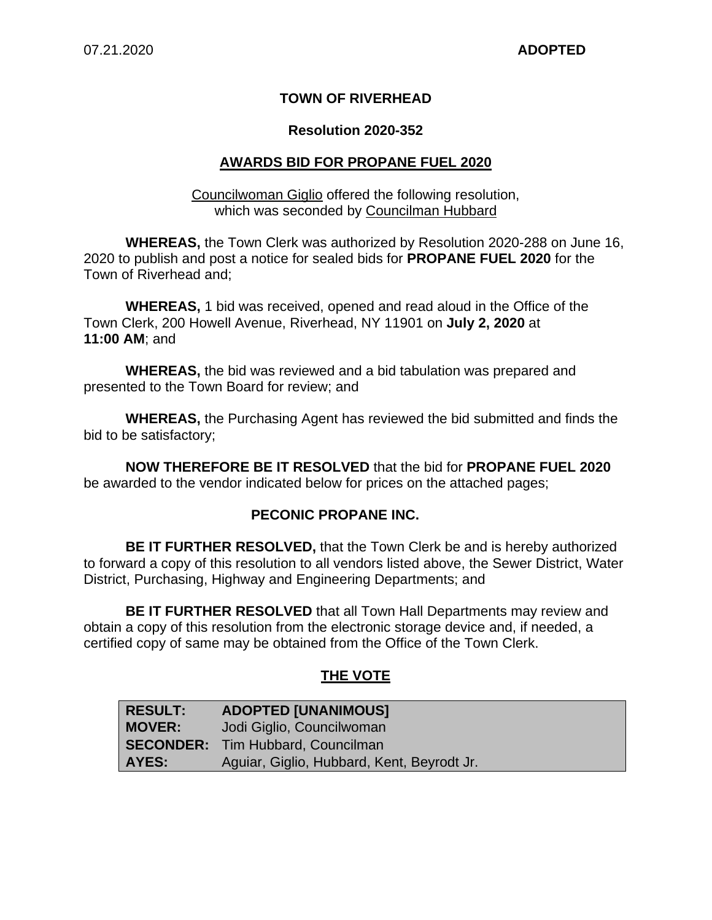## **TOWN OF RIVERHEAD**

### **Resolution 2020-352**

## **AWARDS BID FOR PROPANE FUEL 2020**

Councilwoman Giglio offered the following resolution, which was seconded by Councilman Hubbard

**WHEREAS,** the Town Clerk was authorized by Resolution 2020-288 on June 16, 2020 to publish and post a notice for sealed bids for **PROPANE FUEL 2020** for the Town of Riverhead and;

**WHEREAS,** 1 bid was received, opened and read aloud in the Office of the Town Clerk, 200 Howell Avenue, Riverhead, NY 11901 on **July 2, 2020** at **11:00 AM**; and

**WHEREAS,** the bid was reviewed and a bid tabulation was prepared and presented to the Town Board for review; and

**WHEREAS,** the Purchasing Agent has reviewed the bid submitted and finds the bid to be satisfactory;

**NOW THEREFORE BE IT RESOLVED** that the bid for **PROPANE FUEL 2020**  be awarded to the vendor indicated below for prices on the attached pages;

#### **PECONIC PROPANE INC.**

**BE IT FURTHER RESOLVED,** that the Town Clerk be and is hereby authorized to forward a copy of this resolution to all vendors listed above, the Sewer District, Water District, Purchasing, Highway and Engineering Departments; and

**BE IT FURTHER RESOLVED** that all Town Hall Departments may review and obtain a copy of this resolution from the electronic storage device and, if needed, a certified copy of same may be obtained from the Office of the Town Clerk.

## **THE VOTE**

| <b>RESULT:</b> | <b>ADOPTED [UNANIMOUS]</b>                 |
|----------------|--------------------------------------------|
| <b>MOVER:</b>  | Jodi Giglio, Councilwoman                  |
|                | <b>SECONDER:</b> Tim Hubbard, Councilman   |
| AYES:          | Aguiar, Giglio, Hubbard, Kent, Beyrodt Jr. |